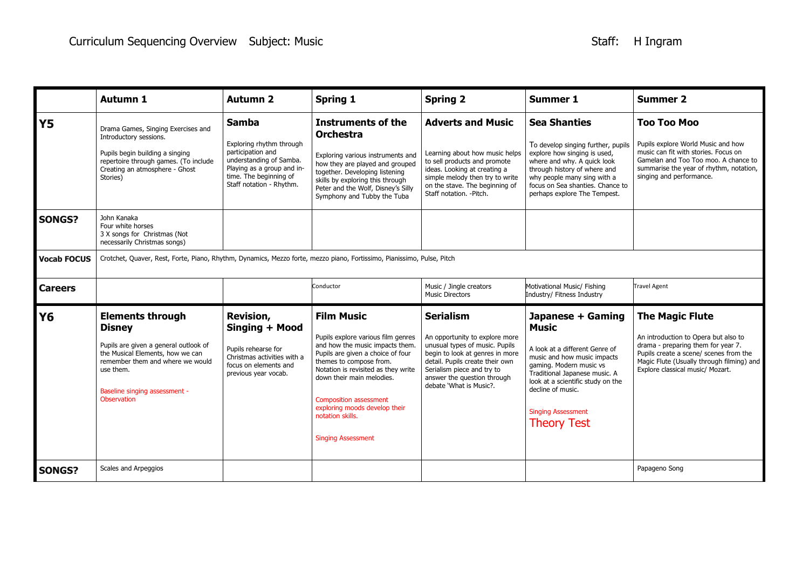|                    | <b>Autumn 1</b>                                                                                                                                                                                                        | <b>Autumn 2</b>                                                                                                                                                              | <b>Spring 1</b>                                                                                                                                                                                                                                                                                                                                   | <b>Spring 2</b>                                                                                                                                                                                                                                    | <b>Summer 1</b>                                                                                                                                                                                                                                                             | <b>Summer 2</b>                                                                                                                                                                                                                 |  |
|--------------------|------------------------------------------------------------------------------------------------------------------------------------------------------------------------------------------------------------------------|------------------------------------------------------------------------------------------------------------------------------------------------------------------------------|---------------------------------------------------------------------------------------------------------------------------------------------------------------------------------------------------------------------------------------------------------------------------------------------------------------------------------------------------|----------------------------------------------------------------------------------------------------------------------------------------------------------------------------------------------------------------------------------------------------|-----------------------------------------------------------------------------------------------------------------------------------------------------------------------------------------------------------------------------------------------------------------------------|---------------------------------------------------------------------------------------------------------------------------------------------------------------------------------------------------------------------------------|--|
| <b>Y5</b>          | Drama Games, Singing Exercises and<br>Introductory sessions.<br>Pupils begin building a singing<br>repertoire through games. (To include<br>Creating an atmosphere - Ghost<br>Stories)                                 | <b>Samba</b><br>Exploring rhythm through<br>participation and<br>understanding of Samba.<br>Playing as a group and in-<br>time. The beginning of<br>Staff notation - Rhythm. | <b>Instruments of the</b><br><b>Orchestra</b><br>Exploring various instruments and<br>how they are played and grouped<br>together. Developing listening<br>skills by exploring this through<br>Peter and the Wolf, Disney's Silly<br>Symphony and Tubby the Tuba                                                                                  | <b>Adverts and Music</b><br>Learning about how music helps<br>to sell products and promote<br>ideas. Looking at creating a<br>simple melody then try to write<br>on the stave. The beginning of<br>Staff notation. - Pitch.                        | <b>Sea Shanties</b><br>To develop singing further, pupils<br>explore how singing is used,<br>where and why. A quick look<br>through history of where and<br>why people many sing with a<br>focus on Sea shanties. Chance to<br>perhaps explore The Tempest.                 | <b>Too Too Moo</b><br>Pupils explore World Music and how<br>music can fit with stories. Focus on<br>Gamelan and Too Too moo. A chance to<br>summarise the year of rhythm, notation,<br>singing and performance.                 |  |
| <b>SONGS?</b>      | John Kanaka<br>Four white horses<br>3 X songs for Christmas (Not<br>necessarily Christmas songs)                                                                                                                       |                                                                                                                                                                              |                                                                                                                                                                                                                                                                                                                                                   |                                                                                                                                                                                                                                                    |                                                                                                                                                                                                                                                                             |                                                                                                                                                                                                                                 |  |
| <b>Vocab FOCUS</b> | Crotchet, Quaver, Rest, Forte, Piano, Rhythm, Dynamics, Mezzo forte, mezzo piano, Fortissimo, Pianissimo, Pulse, Pitch                                                                                                 |                                                                                                                                                                              |                                                                                                                                                                                                                                                                                                                                                   |                                                                                                                                                                                                                                                    |                                                                                                                                                                                                                                                                             |                                                                                                                                                                                                                                 |  |
| <b>Careers</b>     |                                                                                                                                                                                                                        |                                                                                                                                                                              | Conductor                                                                                                                                                                                                                                                                                                                                         | Music / Jingle creators                                                                                                                                                                                                                            | Motivational Music/ Fishing                                                                                                                                                                                                                                                 | <b>Travel Agent</b>                                                                                                                                                                                                             |  |
|                    |                                                                                                                                                                                                                        |                                                                                                                                                                              |                                                                                                                                                                                                                                                                                                                                                   | <b>Music Directors</b>                                                                                                                                                                                                                             | Industry/ Fitness Industry                                                                                                                                                                                                                                                  |                                                                                                                                                                                                                                 |  |
| <b>Y6</b>          | <b>Elements through</b><br><b>Disney</b><br>Pupils are given a general outlook of<br>the Musical Elements, how we can<br>remember them and where we would<br>use them.<br>Baseline singing assessment -<br>Observation | <b>Revision,</b><br>Singing + Mood<br>Pupils rehearse for<br>Christmas activities with a<br>focus on elements and<br>previous year vocab.                                    | <b>Film Music</b><br>Pupils explore various film genres<br>and how the music impacts them.<br>Pupils are given a choice of four<br>themes to compose from.<br>Notation is revisited as they write<br>down their main melodies.<br><b>Composition assessment</b><br>exploring moods develop their<br>notation skills.<br><b>Singing Assessment</b> | <b>Serialism</b><br>An opportunity to explore more<br>unusual types of music. Pupils<br>begin to look at genres in more<br>detail. Pupils create their own<br>Serialism piece and try to<br>answer the question through<br>debate 'What is Music?. | Japanese + Gaming<br><b>Music</b><br>A look at a different Genre of<br>music and how music impacts<br>gaming. Modern music vs<br>Traditional Japanese music. A<br>look at a scientific study on the<br>decline of music.<br><b>Singing Assessment</b><br><b>Theory Test</b> | <b>The Magic Flute</b><br>An introduction to Opera but also to<br>drama - preparing them for year 7.<br>Pupils create a scene/ scenes from the<br>Magic Flute (Usually through filming) and<br>Explore classical music/ Mozart. |  |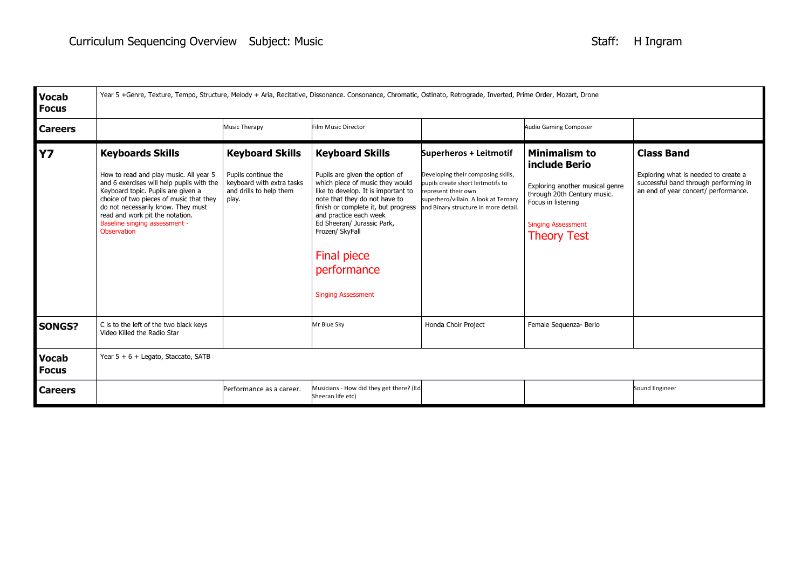| <b>Vocab</b><br><b>Focus</b> | Year 5 +Genre, Texture, Tempo, Structure, Melody + Aria, Recitative, Dissonance. Consonance, Chromatic, Ostinato, Retrograde, Inverted, Prime Order, Mozart, Drone                                                                                                                                                       |                                                                                                                |                                                                                                                                                                                                                                                                                                                                                         |                                                                                                                                                                                                          |                                                                                                                                                                           |                                                                                                                                            |
|------------------------------|--------------------------------------------------------------------------------------------------------------------------------------------------------------------------------------------------------------------------------------------------------------------------------------------------------------------------|----------------------------------------------------------------------------------------------------------------|---------------------------------------------------------------------------------------------------------------------------------------------------------------------------------------------------------------------------------------------------------------------------------------------------------------------------------------------------------|----------------------------------------------------------------------------------------------------------------------------------------------------------------------------------------------------------|---------------------------------------------------------------------------------------------------------------------------------------------------------------------------|--------------------------------------------------------------------------------------------------------------------------------------------|
| <b>Careers</b>               |                                                                                                                                                                                                                                                                                                                          | <b>Music Therapy</b>                                                                                           | Film Music Director                                                                                                                                                                                                                                                                                                                                     |                                                                                                                                                                                                          | <b>Audio Gaming Composer</b>                                                                                                                                              |                                                                                                                                            |
| <b>Y7</b>                    | <b>Keyboards Skills</b><br>How to read and play music. All year 5<br>and 6 exercises will help pupils with the<br>Keyboard topic. Pupils are given a<br>choice of two pieces of music that they<br>do not necessarily know. They must<br>read and work pit the notation.<br>Baseline singing assessment -<br>Observation | <b>Keyboard Skills</b><br>Pupils continue the<br>keyboard with extra tasks<br>and drills to help them<br>play. | <b>Keyboard Skills</b><br>Pupils are given the option of<br>which piece of music they would<br>like to develop. It is important to<br>note that they do not have to<br>finish or complete it, but progress<br>and practice each week<br>Ed Sheeran/ Jurassic Park,<br>Frozen/ SkyFall<br><b>Final piece</b><br>performance<br><b>Singing Assessment</b> | Superheros + Leitmotif<br>Developing their composing skills,<br>pupils create short leitmotifs to<br>represent their own<br>superhero/villain. A look at Ternary<br>and Binary structure in more detail. | Minimalism to<br>include Berio<br>Exploring another musical genre<br>through 20th Century music.<br>Focus in listening<br><b>Singing Assessment</b><br><b>Theory Test</b> | <b>Class Band</b><br>Exploring what is needed to create a<br>successful band through performing in<br>an end of year concert/ performance. |
| <b>SONGS?</b>                | C is to the left of the two black keys<br>Video Killed the Radio Star                                                                                                                                                                                                                                                    |                                                                                                                | Mr Blue Sky                                                                                                                                                                                                                                                                                                                                             | Honda Choir Project                                                                                                                                                                                      | Female Sequenza- Berio                                                                                                                                                    |                                                                                                                                            |
| <b>Vocab</b><br><b>Focus</b> | Year $5 + 6 +$ Legato, Staccato, SATB                                                                                                                                                                                                                                                                                    |                                                                                                                |                                                                                                                                                                                                                                                                                                                                                         |                                                                                                                                                                                                          |                                                                                                                                                                           |                                                                                                                                            |
| <b>Careers</b>               |                                                                                                                                                                                                                                                                                                                          | Performance as a career.                                                                                       | Musicians - How did they get there? (Ed<br>Sheeran life etc)                                                                                                                                                                                                                                                                                            |                                                                                                                                                                                                          |                                                                                                                                                                           | Sound Engineer                                                                                                                             |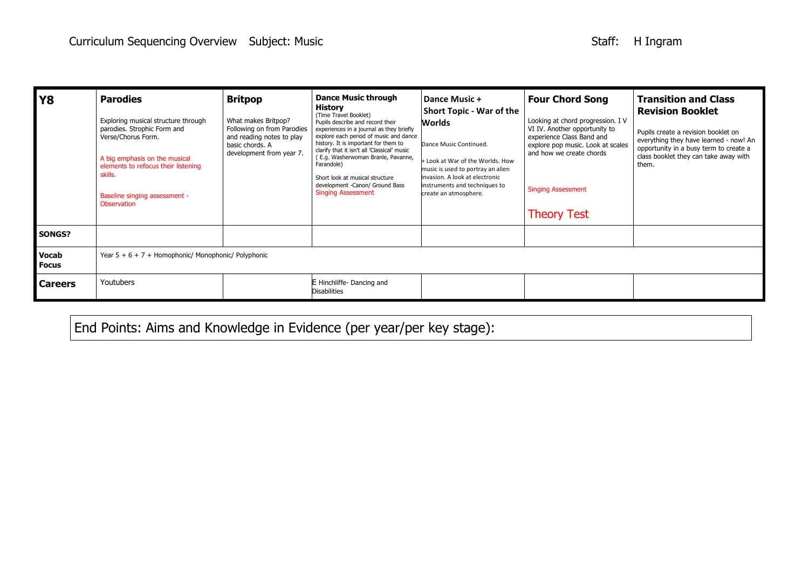| <b>Y8</b>                    | <b>Parodies</b><br>Exploring musical structure through<br>parodies. Strophic Form and<br>Verse/Chorus Form.<br>A big emphasis on the musical<br>elements to refocus their listening<br>skills.<br>Baseline singing assessment -<br>Observation | <b>Britpop</b><br>What makes Britpop?<br>Following on from Parodies<br>and reading notes to play<br>basic chords. A<br>development from year 7. | <b>Dance Music through</b><br>History<br>(Time Travel Booklet)<br>Pupils describe and record their<br>experiences in a journal as they briefly<br>explore each period of music and dance<br>history. It is important for them to<br>clarify that it isn't all 'Classical' music<br>(E.g. Washerwoman Branle, Pavanne,<br>Farandole)<br>Short look at musical structure<br>development -Canon/ Ground Bass<br><b>Singing Assessment</b> | Dance Music +<br><b>Short Topic - War of the</b><br>Worlds<br>Dance Music Continued.<br>+ Look at War of the Worlds. How<br>music is used to portray an alien<br>invasion. A look at electronic<br>instruments and techniques to<br>create an atmosphere. | <b>Four Chord Song</b><br>Looking at chord progression. I V<br>VI IV. Another opportunity to<br>experience Class Band and<br>explore pop music. Look at scales<br>and how we create chords<br><b>Singing Assessment</b><br><b>Theory Test</b> | <b>Transition and Class</b><br><b>Revision Booklet</b><br>Pupils create a revision booklet on<br>everything they have learned - now! An<br>opportunity in a busy term to create a<br>class booklet they can take away with<br>them. |  |
|------------------------------|------------------------------------------------------------------------------------------------------------------------------------------------------------------------------------------------------------------------------------------------|-------------------------------------------------------------------------------------------------------------------------------------------------|----------------------------------------------------------------------------------------------------------------------------------------------------------------------------------------------------------------------------------------------------------------------------------------------------------------------------------------------------------------------------------------------------------------------------------------|-----------------------------------------------------------------------------------------------------------------------------------------------------------------------------------------------------------------------------------------------------------|-----------------------------------------------------------------------------------------------------------------------------------------------------------------------------------------------------------------------------------------------|-------------------------------------------------------------------------------------------------------------------------------------------------------------------------------------------------------------------------------------|--|
| <b>SONGS?</b>                |                                                                                                                                                                                                                                                |                                                                                                                                                 |                                                                                                                                                                                                                                                                                                                                                                                                                                        |                                                                                                                                                                                                                                                           |                                                                                                                                                                                                                                               |                                                                                                                                                                                                                                     |  |
| <b>Vocab</b><br><b>Focus</b> | Year $5 + 6 + 7 +$ Homophonic/ Monophonic/ Polyphonic                                                                                                                                                                                          |                                                                                                                                                 |                                                                                                                                                                                                                                                                                                                                                                                                                                        |                                                                                                                                                                                                                                                           |                                                                                                                                                                                                                                               |                                                                                                                                                                                                                                     |  |
| <b>Careers</b>               | Youtubers                                                                                                                                                                                                                                      |                                                                                                                                                 | E Hinchliffe- Dancing and<br>Disabilities                                                                                                                                                                                                                                                                                                                                                                                              |                                                                                                                                                                                                                                                           |                                                                                                                                                                                                                                               |                                                                                                                                                                                                                                     |  |

End Points: Aims and Knowledge in Evidence (per year/per key stage):